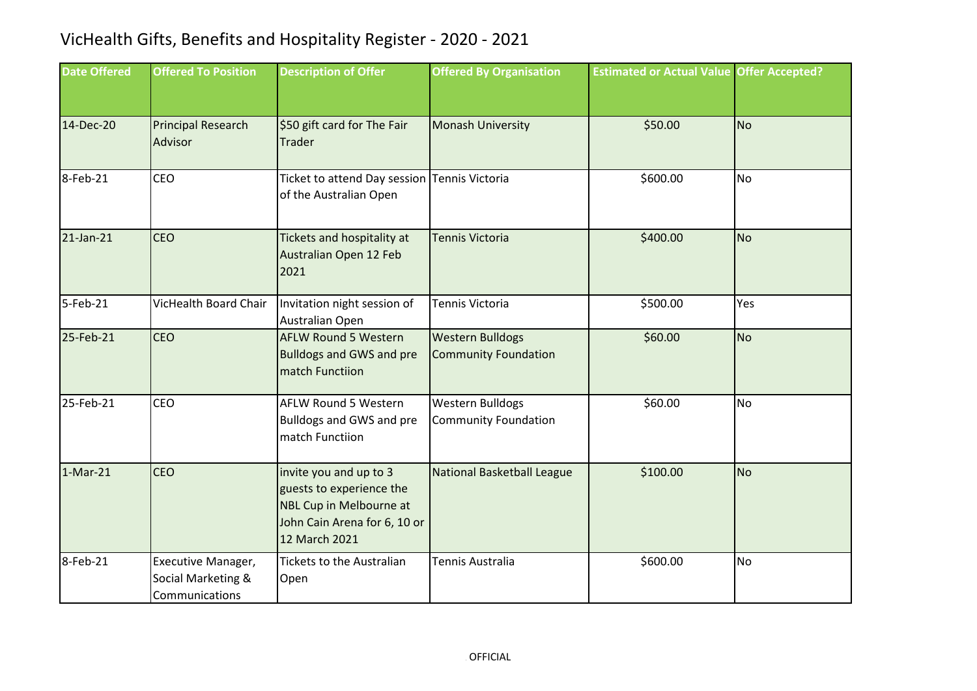## VicHealth Gifts, Benefits and Hospitality Register - 2020 - 2021

| <b>Date Offered</b> | <b>Offered To Position</b>                                 | <b>Description of Offer</b>                                                                                                    | <b>Offered By Organisation</b>                         | <b>Estimated or Actual Value Offer Accepted?</b> |           |
|---------------------|------------------------------------------------------------|--------------------------------------------------------------------------------------------------------------------------------|--------------------------------------------------------|--------------------------------------------------|-----------|
| 14-Dec-20           | <b>Principal Research</b><br>Advisor                       | \$50 gift card for The Fair<br>Trader                                                                                          | <b>Monash University</b>                               | \$50.00                                          | <b>No</b> |
| 8-Feb-21            | CEO                                                        | Ticket to attend Day session Tennis Victoria<br>of the Australian Open                                                         |                                                        | \$600.00                                         | <b>No</b> |
| 21-Jan-21           | <b>CEO</b>                                                 | Tickets and hospitality at<br>Australian Open 12 Feb<br>2021                                                                   | <b>Tennis Victoria</b>                                 | \$400.00                                         | <b>No</b> |
| 5-Feb-21            | <b>VicHealth Board Chair</b>                               | Invitation night session of<br>Australian Open                                                                                 | Tennis Victoria                                        | \$500.00                                         | Yes       |
| 25-Feb-21           | CEO                                                        | <b>AFLW Round 5 Western</b><br><b>Bulldogs and GWS and pre</b><br>match Functiion                                              | <b>Western Bulldogs</b><br><b>Community Foundation</b> | \$60.00                                          | <b>No</b> |
| 25-Feb-21           | CEO                                                        | <b>AFLW Round 5 Western</b><br><b>Bulldogs and GWS and pre</b><br>match Functiion                                              | Western Bulldogs<br><b>Community Foundation</b>        | \$60.00                                          | <b>No</b> |
| $1-Mar-21$          | <b>CEO</b>                                                 | invite you and up to 3<br>guests to experience the<br>NBL Cup in Melbourne at<br>John Cain Arena for 6, 10 or<br>12 March 2021 | National Basketball League                             | \$100.00                                         | <b>No</b> |
| 8-Feb-21            | Executive Manager,<br>Social Marketing &<br>Communications | Tickets to the Australian<br>Open                                                                                              | <b>Tennis Australia</b>                                | \$600.00                                         | <b>No</b> |